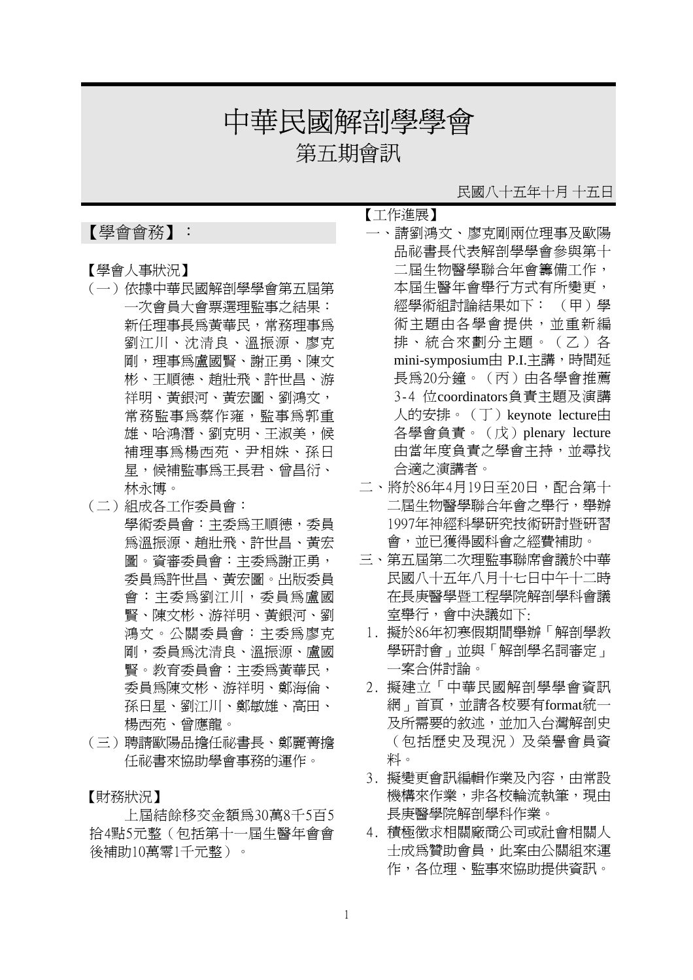# 中華民國解剖學學會

第五期會訊

## 【學會會務】:

- 【學會人事狀況】
- (一)依據中華民國解剖學學會第五屆第 一次會員大會票選理監事之結果: 新任理事長為黃華民,常務理事為 劉江川、沈清良、溫振源、廖克 剛,理事為盧國賢、謝正勇、陳文 彬、王順德、趙壯飛、許世昌、游 祥明、黃銀河、黃宏圖、劉鴻文, 常務監事為蔡作雍,監事為郭重 雄、哈鴻潛、劉克明、王淑美,候 補理事為楊西苑、尹相姝、孫日 星,候補監事為王長君、曾昌衍、 林永博。
- (二)組成各工作委員會: 學術委員會:主委為王順德,委員 為溫振源、趙壯飛、許世昌、黃宏 圖。資審委員會:主委為謝正勇, 委員為許世昌、黃宏圖。出版委員 會:主委為劉江川,委員為盧國 賢、陳文彬、游祥明、黃銀河、劉 鴻文。公關委員會:主委為廖克 剛,委員為沈清良、溫振源、盧國 賢。教育委員會:主委為黃華民, 委員為陳文彬、游祥明、鄭海倫、 孫日星、劉江川、鄭敏雄、高田、 楊西苑、曾應龍。
- (三)聘請歐陽品擔任祕書長、鄭麗菁擔 任祕書來協助學會事務的運作。

【財務狀況】

上屆結餘移交金額為30萬8千5百5 拾4點5元整(包括第十一屆生醫年會會 後補助10萬零1千元整)。

### 民國八十五年十月 十五日

【工作進展】

- 一、請劉鴻文、廖克剛兩位理事及歐陽 品祕書長代表解剖學學會參與第十 二屆生物醫學聯合年會籌備工作, 本屆生醫年會舉行方式有所變更, 經學術組討論結果如下: (甲)學 術主題由各學會提供,並重新編 排、統合來劃分主題。(乙)各 mini-symposium由 P.I.主講,時間延 長為20分鐘。(丙)由各學會推薦 3-4 位coordinators負責主題及演講 人的安排。(丁)keynote lecture由 各學會負責。(戊)plenary lecture 由當年度負責之學會主持,並尋找 合適之演講者。
- 二、將於86年4月19日至20日,配合第十 二屆生物醫學聯合年會之舉行,舉辦 1997年神經科學研究技術研討暨研習 會,並已獲得國科會之經費補助。
- 三、第五屆第二次理監事聯席會議於中華 民國八十五年八月十七日中午十二時 在長庚醫學暨工程學院解剖學科會議 室舉行,會中決議如下:
- 1. 擬於86年初寒假期間舉辦「解剖學教 學研討會」並與「解剖學名詞審定」 一案合併討論。
- 2. 擬建立「中華民國解剖學學會資訊 網」首頁,並請各校要有format統一 及所需要的敘述,並加入台灣解剖史 (包括歷史及現況)及榮譽會員資 料。
- 3. 擬變更會訊編輯作業及內容,由常設 機構來作業,非各校輪流執筆,現由 長庚醫學院解剖學科作業。
- 4. 積極徵求相關廠商公司或社會相關人 士成為贊助會員,此案由公關組來運 作,各位理、監事來協助提供資訊。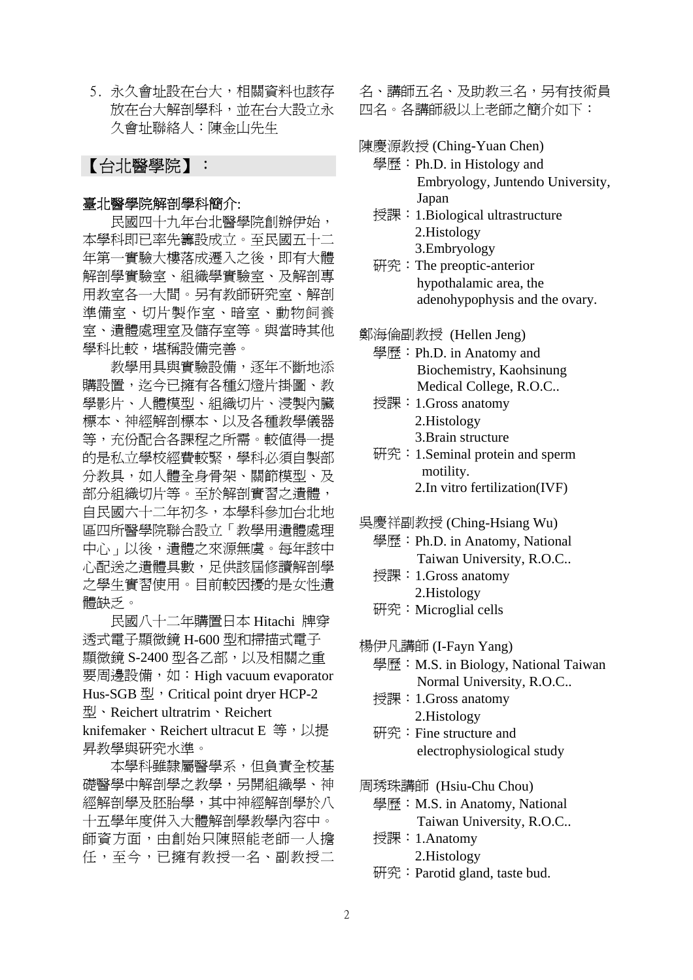5. 永久會址設在台大,相關資料也該存 放在台大解剖學科,並在台大設立永 久會址聯絡人:陳金山先生

## 【台北醫學院】:

#### 臺北醫學院解剖學科簡介:

 民國四十九年台北醫學院創辦伊始, 本學科即已率先籌設成立。至民國五十二 年第一實驗大樓落成遷入之後,即有大體 解剖學實驗室、組織學實驗室、及解剖專 用教室各一大間。另有教師研究室、解剖 準備室、切片製作室、暗室、動物飼養 室、遺體處理室及儲存室等。與當時其他 學科比較,堪稱設備完善。

教學用具與實驗設備,逐年不斷地添 購設置,迄今已擁有各種幻燈片掛圖、教 學影片、人體模型、組織切片、浸製內臟 標本、神經解剖標本、以及各種教學儀器 等,充份配合各課程之所需。較值得一提 的是私立學校經費較緊,學科必須自製部 分教具,如人體全身骨架、關節模型、及 部分組織切片等。至於解剖實習之遺體, 自民國六十二年初冬,本學科參加台北地 區四所醫學院聯合設立「教學用遺體處理 中心」以後,遺體之來源無虞。每年該中 心配送之遺體具數,足供該屆修讀解剖學 之學生實習使用。目前較因擾的是女性遺 體缺乏。

 民國八十二年購置日本 Hitachi 牌穿 透式電子顯微鏡 H-600 型和掃描式電子 顯微鏡 S-2400 型各乙部,以及相關之重 要周邊設備,如:High vacuum evaporator Hus-SGB 型, Critical point dryer HCP-2 型、Reichert ultratrim、Reichert knifemaker、Reichert ultracut E 等,以提 昇教學與研究水準。

 本學科雖隸屬醫學系,但負責全校基 礎醫學中解剖學之教學,另開組織學、神 經解剖學及胚胎學,其中神經解剖學於八 十五學年度併入大體解剖學教學內容中。 師資方面,由創始只陳照能老師一人擔 任,至今,已擁有教授一名、副教授二

名、講師五名、及助教三名,另有技術員 四名。各講師級以上老師之簡介如下:

#### 陳慶源教授 (Ching-Yuan Chen)

- 學歷: Ph.D. in Histology and Embryology, Juntendo University, Japan
- 授課:1.Biological ultrastructure 2.Histology 3.Embryology
- 研究:The preoptic-anterior hypothalamic area, the adenohypophysis and the ovary.

鄭海倫副教授 (Hellen Jeng)

- 學歷: Ph.D. in Anatomy and Biochemistry, Kaohsinung Medical College, R.O.C..
- 授課:1.Gross anatomy 2.Histology 3.Brain structure
- 研究:1.Seminal protein and sperm motility. 2.In vitro fertilization(IVF)
- 吳慶祥副教授 (Ching-Hsiang Wu)
	- 學歷: Ph.D. in Anatomy, National Taiwan University, R.O.C..
	- 授課:1.Gross anatomy 2.Histology

研究: Microglial cells

楊伊凡講師 (I-Fayn Yang)

- 學歷: M.S. in Biology, National Taiwan Normal University, R.O.C..
- 授課: 1.Gross anatomy 2.Histology
- 研究:Fine structure and electrophysiological study

周琇珠講師 (Hsiu-Chu Chou)

- 學歷: M.S. in Anatomy, National Taiwan University, R.O.C..
- 授課:1.Anatomy 2.Histology
- 
- 研究:Parotid gland, taste bud.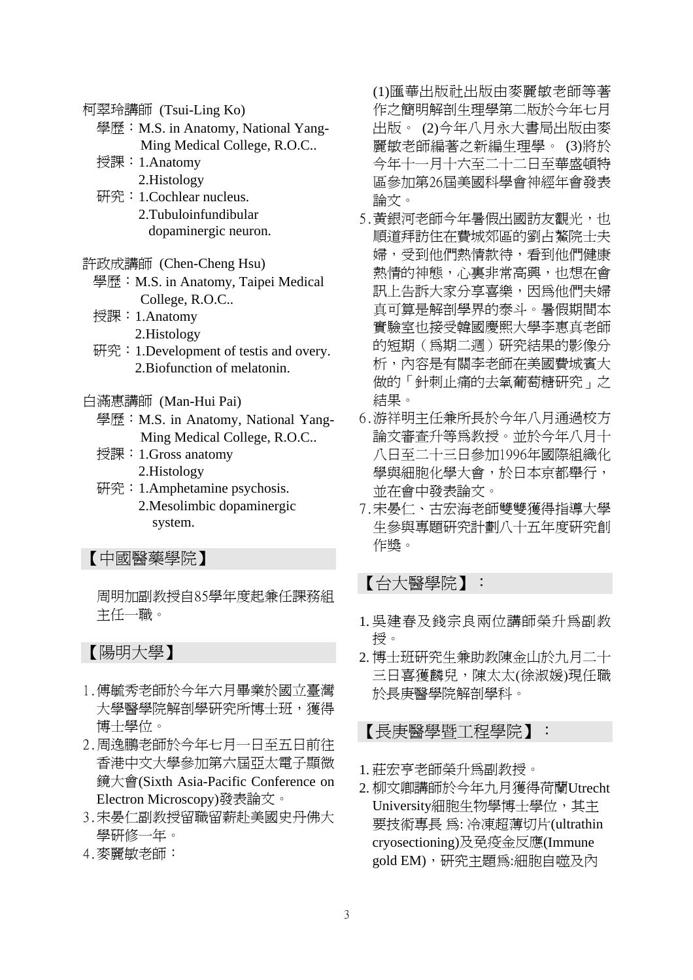柯翠玲講師 (Tsui-Ling Ko)

- 學歷: M.S. in Anatomy, National Yang-Ming Medical College, R.O.C..
- 授課:1.Anatomy
	- 2.Histology
- 研究:1.Cochlear nucleus. 2.Tubuloinfundibular dopaminergic neuron.
- 許政成講師 (Chen-Cheng Hsu)
	- 學歷: M.S. in Anatomy, Taipei Medical College, R.O.C..
	- 授課:1.Anatomy
		- 2.Histology
	- 研究:1.Development of testis and overy. 2.Biofunction of melatonin.
- 白滿惠講師 (Man-Hui Pai)
	- 學歷: M.S. in Anatomy, National Yang-Ming Medical College, R.O.C..
	- 授課:1.Gross anatomy 2.Histology
	- 研究:1.Amphetamine psychosis. 2.Mesolimbic dopaminergic system.

## 【中國醫藥學院】

周明加副教授自85學年度起兼任課務組 主任一職。

## 【陽明大學】

- 1.傅毓秀老師於今年六月畢業於國立臺灣 大學醫學院解剖學研究所博士班,獲得 博士學位。
- 2.周逸鵬老師於今年七月一日至五日前往 香港中文大學參加第六屆亞太電子顯微 鏡大會(Sixth Asia-Pacific Conference on Electron Microscopy)發表論文。
- 3.宋晏仁副教授留職留薪赴美國史丹佛大 學研修一年。
- 4.麥麗敏老師:

(1)匯華出版社出版由麥麗敏老師等著 作之簡明解剖生理學第二版於今年七月 出版。 (2)今年八月永大書局出版由麥 麗敏老師編著之新編生理學。 (3)將於 今年十一月十六至二十二日至華盛頓特 區參加第26屆美國科學會神經年會發表 論文。

- 5. 黃銀河老師今年暑假出國訪友觀光, 也 順道拜訪住在費城郊區的劉占鰲院士夫 婦,受到他們熱情款待,看到他們健康 熱情的神態,心裏非常高興,也想在會 訊上告訴大家分享喜樂,因為他們夫婦 真可算是解剖學界的泰斗。暑假期間本 實驗室也接受韓國慶熙大學李惠真老師 的短期(為期二週)研究結果的影像分 析,內容是有關李老師在美國費城賓大 做的「針刺止痛的去氧葡萄糖研究」之 結果。
- 6.游祥明主任兼所長於今年八月通過校方 論文審查升等為教授。並於今年八月十 八日至二十三日參加1996年國際組織化 學與細胞化學大會,於日本京都舉行, 並在會中發表論文。
- 7.宋晏仁、古宏海老師雙雙獲得指導大學 生參與專題研究計劃八十五年度研究創 作獎。

【台大醫學院】:

- 1. 吳建春及錢宗良兩位講師榮升為副教 授。
- 2. 博士班研究生兼助教陳金山於九月二十 三日喜獲麟兒,陳太太(徐淑媛)現任職 於長庚醫學院解剖學科。

【長庚醫學暨工程學院】:

- 1. 莊宏亨老師榮升為副教授。
- 2. 柳文卿講師於今年九月獲得荷蘭Utrecht University細胞生物學博士學位,其主 要技術專長 為: 冷凍超薄切片(ultrathin cryosectioning)及免疫金反應(Immune gold EM),研究主題為:細胞自噬及內